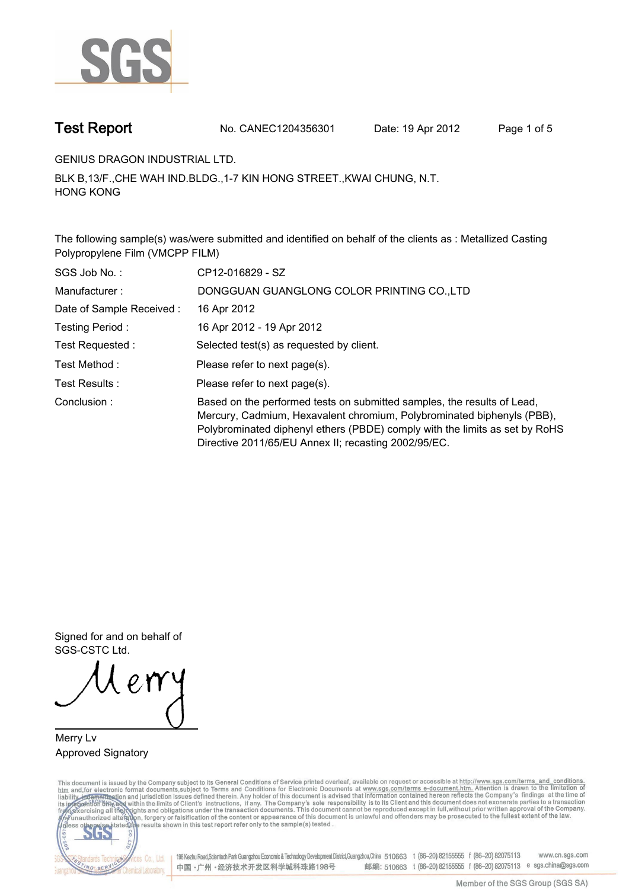

**Test Report. No. CANEC1204356301 Date: 19 Apr 2012. Page 1 of 5.**

**GENIUS DRAGON INDUSTRIAL LTD..**

**BLK B,13/F.,CHE WAH IND.BLDG.,1-7 KIN HONG STREET.,KWAI CHUNG, N.T. HONG KONG.**

**The following sample(s) was/were submitted and identified on behalf of the clients as : Metallized Casting Polypropylene Film (VMCPP FILM).**

| SGS Job No.:             | CP12-016829 - SZ                                                                                                                                                                                                                                                                         |
|--------------------------|------------------------------------------------------------------------------------------------------------------------------------------------------------------------------------------------------------------------------------------------------------------------------------------|
| Manufacturer:            | DONGGUAN GUANGLONG COLOR PRINTING CO., LTD                                                                                                                                                                                                                                               |
| Date of Sample Received: | 16 Apr 2012                                                                                                                                                                                                                                                                              |
| Testing Period:          | 16 Apr 2012 - 19 Apr 2012                                                                                                                                                                                                                                                                |
| Test Requested:          | Selected test(s) as requested by client.                                                                                                                                                                                                                                                 |
| Test Method :            | Please refer to next page(s).                                                                                                                                                                                                                                                            |
| Test Results :           | Please refer to next page(s).                                                                                                                                                                                                                                                            |
| Conclusion:              | Based on the performed tests on submitted samples, the results of Lead,<br>Mercury, Cadmium, Hexavalent chromium, Polybrominated biphenyls (PBB),<br>Polybrominated diphenyl ethers (PBDE) comply with the limits as set by RoHS<br>Directive 2011/65/EU Annex II; recasting 2002/95/EC. |

**Signed for and on behalf of SGS-CSTC Ltd..**

**Merry Lv. Approved Signatory.**

This document is issued by the Company subject to its General Conditions of Service printed overleaf, available on request or accessible at http://www.sgs.com/terms\_and\_conditions.<br>htm\_and,for electronic format documents,s



198 Kezhu Road,Scientech Park Guangzhou Economic & Technology Development District,Guangzhou,China 510663 t (86-20) 82155555 f (86-20) 82075113 www.cn.sgs.com 邮编: 510663 t (86-20) 82155555 f (86-20) 82075113 e sgs.china@sgs.com 中国·广州·经济技术开发区科学城科珠路198号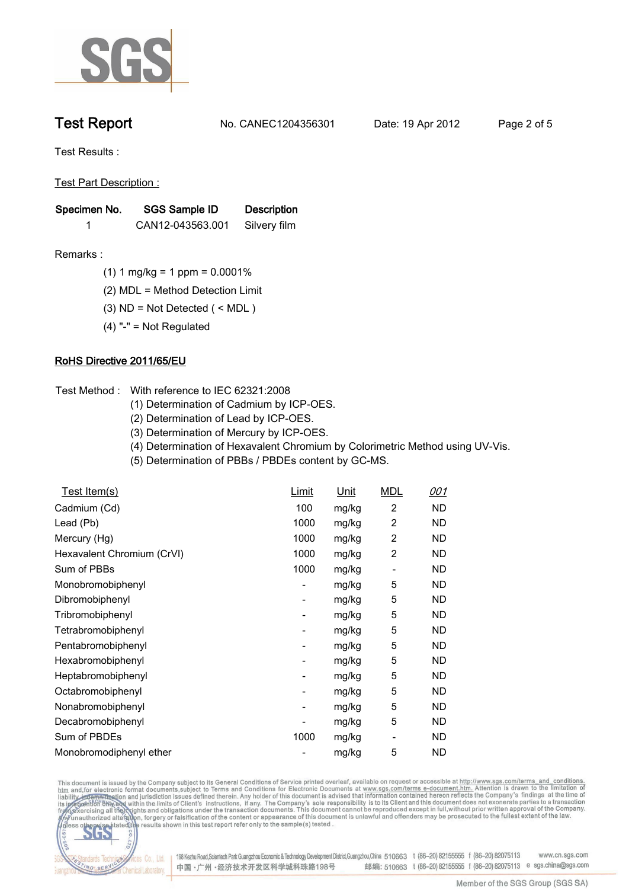

**Test Report. No. CANEC1204356301 Date: 19 Apr 2012. Page 2 of 5.**

**Test Results :.**

**Test Part Description :.**

| Specimen No. | SGS Sample ID    | <b>Description</b> |  |
|--------------|------------------|--------------------|--|
|              | CAN12-043563.001 | Silvery film       |  |

- **Remarks :.(1) 1 mg/kg = 1 ppm = 0.0001%.**
	- **(2) MDL = Method Detection Limit.**
	- **(3) ND = Not Detected ( < MDL ).**
	- **(4) "-" = Not Regulated.**

## **RoHS Directive 2011/65/EU.**

- **Test Method :. With reference to IEC 62321:2008**
	- **(1) Determination of Cadmium by ICP-OES.**
	- **(2) Determination of Lead by ICP-OES.**
	- **(3) Determination of Mercury by ICP-OES.**
	- **(4) Determination of Hexavalent Chromium by Colorimetric Method using UV-Vis.**
	- **(5) Determination of PBBs / PBDEs content by GC-MS..**

| Test Item(s)               | Limit                    | Unit  | <b>MDL</b>     | 001       |
|----------------------------|--------------------------|-------|----------------|-----------|
| Cadmium (Cd)               | 100                      | mg/kg | 2              | ND        |
| Lead (Pb)                  | 1000                     | mg/kg | 2              | ND.       |
| Mercury (Hg)               | 1000                     | mg/kg | $\overline{c}$ | ND.       |
| Hexavalent Chromium (CrVI) | 1000                     | mg/kg | $\overline{c}$ | ND        |
| Sum of PBBs                | 1000                     | mg/kg |                | ND        |
| Monobromobiphenyl          | -                        | mg/kg | 5              | ND        |
| Dibromobiphenyl            | -                        | mg/kg | 5              | ND        |
| Tribromobiphenyl           | $\overline{\phantom{0}}$ | mg/kg | 5              | ND        |
| Tetrabromobiphenyl         | -                        | mg/kg | 5              | ND        |
| Pentabromobiphenyl         | -                        | mg/kg | 5              | ND        |
| Hexabromobiphenyl          | -                        | mg/kg | 5              | ND        |
| Heptabromobiphenyl         | -                        | mg/kg | 5              | ND        |
| Octabromobiphenyl          | -                        | mg/kg | 5              | ND        |
| Nonabromobiphenyl          | ۰                        | mg/kg | 5              | <b>ND</b> |
| Decabromobiphenyl          |                          | mg/kg | 5              | ND.       |
| Sum of PBDEs               | 1000                     | mg/kg | -              | ND.       |
| Monobromodiphenyl ether    |                          | mg/kg | 5              | <b>ND</b> |

This document is issued by the Company subject to its General Conditions of Service printed overleaf, available on request or accessible at http://www.sgs.com/terms\_and\_conditions.<br>htm\_and,for electronic format documents,s



198 Kezhu Road,Scientech Park Guangzhou Economic & Technology Development District,Guangzhou,China 510663 t (86-20) 82155555 f (86-20) 82075113 www.cn.sgs.com 邮编: 510663 t (86-20) 82155555 f (86-20) 82075113 e sgs.china@sgs.com 中国·广州·经济技术开发区科学城科珠路198号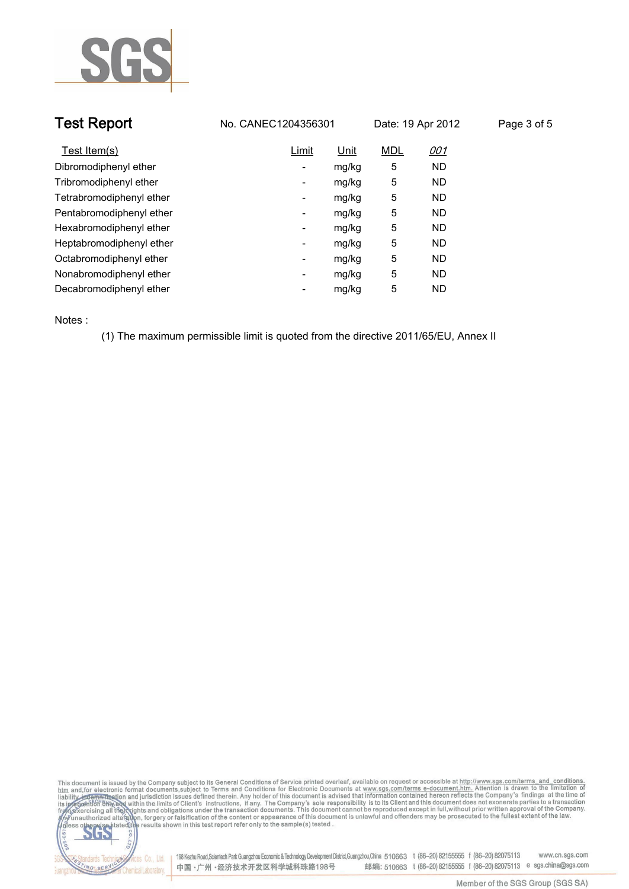

|                          |       |                     |            | Page 3 of 5       |
|--------------------------|-------|---------------------|------------|-------------------|
| Limit                    | Unit  | <b>MDL</b>          | <u>001</u> |                   |
| $\overline{\phantom{a}}$ | mg/kg | 5                   | ND.        |                   |
| ۰                        | mg/kg | 5                   | ND.        |                   |
| -                        | mg/kg | 5                   | ND.        |                   |
| -                        | mg/kg | 5                   | ND.        |                   |
| $\overline{\phantom{a}}$ | mg/kg | 5                   | ND.        |                   |
| $\overline{\phantom{a}}$ | mg/kg | 5                   | ND.        |                   |
| $\overline{\phantom{a}}$ | mg/kg | 5                   | ND.        |                   |
| ۰                        | mg/kg | 5                   | ND.        |                   |
| -                        | mg/kg | 5                   | ND.        |                   |
|                          |       | No. CANEC1204356301 |            | Date: 19 Apr 2012 |

**Notes :.**

**(1) The maximum permissible limit is quoted from the directive 2011/65/EU, Annex II.**





onces Co., Ltd. | 198 Kezhu Road,Scientech Park Guangzhou Economic & Technology Development District,Guangzhou,China 510663 t (86–20) 82155555 f (86–20) 82075113 www.cn.sgs.com 邮编: 510663 t (86-20) 82155555 f (86-20) 82075113 e sgs.china@sgs.com 中国·广州·经济技术开发区科学城科珠路198号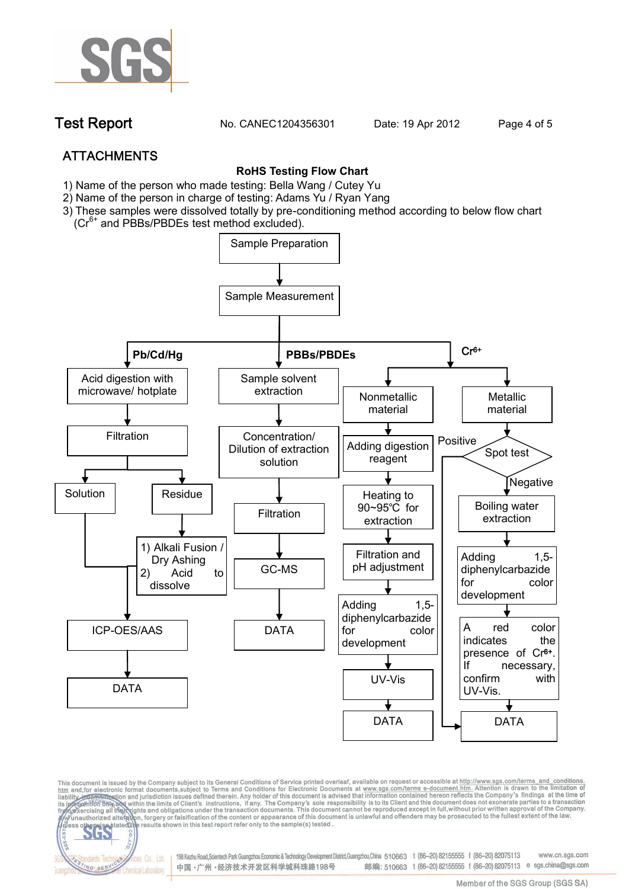

**Test Report. No. CANEC1204356301 Date: 19 Apr 2012. Page 4 of 5.**

# **ATTACHMENTS**

fices Co., Ltd.

Chemical Laboratory

NG SER

### **RoHS Testing Flow Chart**

- **1)** Name of the person who made testing: Bella Wang / **Cutey Yu**
- 2) Name of the person in charge of testing: Adams Yu / **Ryan Yang**
- 3) These samples were dissolved totally by pre-conditioning method according to below flow chart (Cr<sup>6+</sup> and PBBs/PBDEs test method excluded).



This document is issued by the Company subject to its General Conditions of Service printed overleaf, available on request or accessible at http://www.sgs.com/terms\_and\_conditions.<br>htm\_and,for electronic format documents,s

198 Kezhu Road,Scientech Park Guangzhou Economic & Technology Development District,Guangzhou,China 510663 t (86-20) 82155555 f (86-20) 82075113 www.cn.sas.com 邮编: 510663 t (86-20) 82155555 f (86-20) 82075113 e sgs.china@sgs.com 中国·广州·经济技术开发区科学城科珠路198号